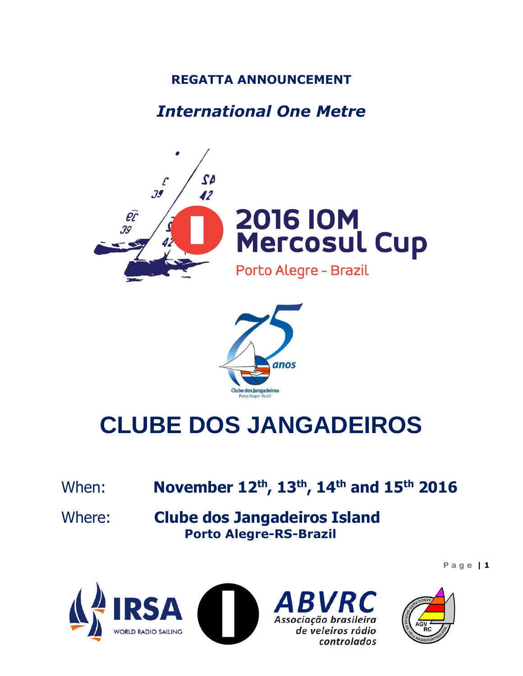## **REGATTA ANNOUNCEMENT**

## *International One Metre*





# **CLUBE DOS JANGADEIROS**

When: **November 12th , 13th , 14th and 15th 2016**

Where: **Clube dos Jangadeiros Island Porto Alegre-RS-Brazil**





RVR( Associação brasileira de veleiros rádio controlados

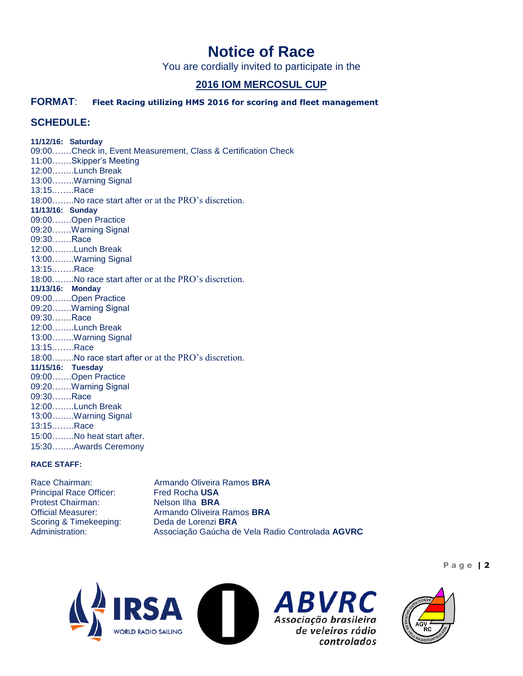## **Notice of Race**

You are cordially invited to participate in the

#### **2016 IOM MERCOSUL CUP**

#### **FORMAT**: **Fleet Racing utilizing HMS 2016 for scoring and fleet management**

#### **SCHEDULE:**

**11/12/16: Saturday** 09:00…….Check in, Event Measurement, Class & Certification Check 11:00…….Skipper's Meeting 12:00……..Lunch Break 13:00……..Warning Signal 13:15.…….Race 18:00……..No race start after or at the PRO's discretion. **11/13/16: Sunday** 09:00…….Open Practice 09:20…….Warning Signal 09:30…….Race 12:00……..Lunch Break 13:00……..Warning Signal 13:15.…….Race 18:00……..No race start after or at the PRO's discretion. **11/13/16: Monday** 09:00…….Open Practice 09:20…….Warning Signal 09:30…….Race 12:00……..Lunch Break 13:00……..Warning Signal 13:15.…….Race 18:00….….No race start after or at the PRO's discretion. **11/15/16: Tuesday** 09:00…….Open Practice 09:20…….Warning Signal 09:30…….Race 12:00……..Lunch Break 13:00……..Warning Signal 13:15.…….Race 15:00……..No heat start after. 15:30……..Awards Ceremony

#### **RACE STAFF:**

**Principal Race Officer:** Protest Chairman: Nelson Ilha **BRA** Scoring & Timekeeping:

Race Chairman: **Armando Oliveira Ramos BRA**<br>
Principal Race Officer: Fred Rocha USA Official Measurer: Armando Oliveira Ramos **BRA**<br>Scoring & Timekeeping: Deda de Lorenzi **BRA** Administration: Associação Gaúcha de Vela Radio Controlada **AGVRC**







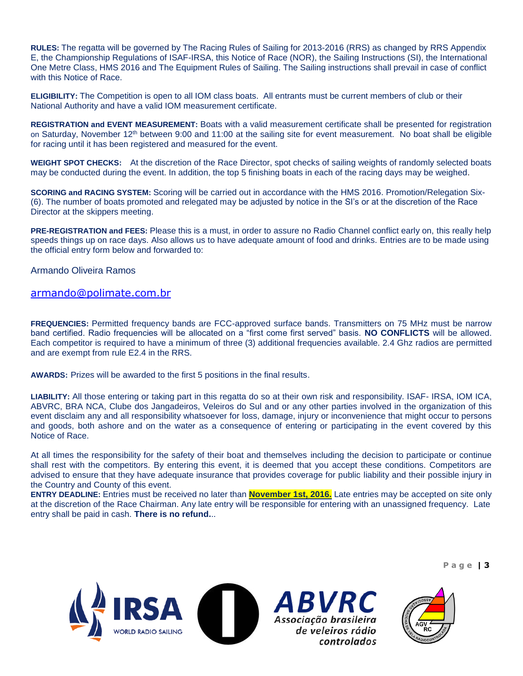**RULES:** The regatta will be governed by The Racing Rules of Sailing for 2013-2016 (RRS) as changed by RRS Appendix E, the Championship Regulations of ISAF-IRSA, this Notice of Race (NOR), the Sailing Instructions (SI), the International One Metre Class, HMS 2016 and The Equipment Rules of Sailing. The Sailing instructions shall prevail in case of conflict with this Notice of Race.

**ELIGIBILITY:** The Competition is open to all IOM class boats. All entrants must be current members of club or their National Authority and have a valid IOM measurement certificate.

**REGISTRATION and EVENT MEASUREMENT:** Boats with a valid measurement certificate shall be presented for registration on Saturday, November 12<sup>th</sup> between 9:00 and 11:00 at the sailing site for event measurement. No boat shall be eligible for racing until it has been registered and measured for the event.

**WEIGHT SPOT CHECKS:** At the discretion of the Race Director, spot checks of sailing weights of randomly selected boats may be conducted during the event. In addition, the top 5 finishing boats in each of the racing days may be weighed.

**SCORING and RACING SYSTEM:** Scoring will be carried out in accordance with the HMS 2016. Promotion/Relegation Six- (6). The number of boats promoted and relegated may be adjusted by notice in the SI's or at the discretion of the Race Director at the skippers meeting.

**PRE-REGISTRATION and FEES:** Please this is a must, in order to assure no Radio Channel conflict early on, this really help speeds things up on race days. Also allows us to have adequate amount of food and drinks. Entries are to be made using the official entry form below and forwarded to:

Armando Oliveira Ramos

#### [armando@polimate.com.br](mailto:ffnoelli@wnet.com.br)

**FREQUENCIES:** Permitted frequency bands are FCC-approved surface bands. Transmitters on 75 MHz must be narrow band certified. Radio frequencies will be allocated on a "first come first served" basis. **NO CONFLICTS** will be allowed. Each competitor is required to have a minimum of three (3) additional frequencies available. 2.4 Ghz radios are permitted and are exempt from rule E2.4 in the RRS.

**AWARDS:** Prizes will be awarded to the first 5 positions in the final results.

**LIABILITY:** All those entering or taking part in this regatta do so at their own risk and responsibility. ISAF- IRSA, IOM ICA, ABVRC, BRA NCA, Clube dos Jangadeiros, Veleiros do Sul and or any other parties involved in the organization of this event disclaim any and all responsibility whatsoever for loss, damage, injury or inconvenience that might occur to persons and goods, both ashore and on the water as a consequence of entering or participating in the event covered by this Notice of Race.

At all times the responsibility for the safety of their boat and themselves including the decision to participate or continue shall rest with the competitors. By entering this event, it is deemed that you accept these conditions. Competitors are advised to ensure that they have adequate insurance that provides coverage for public liability and their possible injury in the Country and County of this event.

**ENTRY DEADLINE:** Entries must be received no later than **November 1st, 2016.** Late entries may be accepted on site only at the discretion of the Race Chairman. Any late entry will be responsible for entering with an unassigned frequency. Late entry shall be paid in cash. **There is no refund.**..